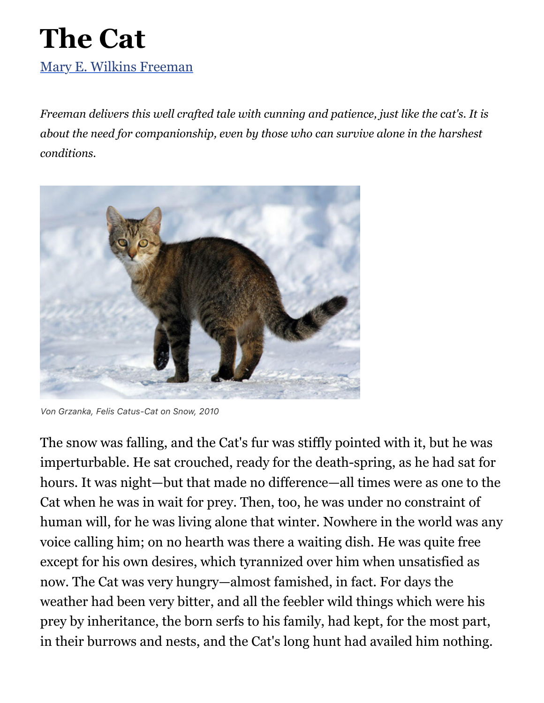## **The Cat** [Mary E. Wilkins Freeman](https://americanliterature.com/author/mary-e-wilkins-freeman)

*Freeman delivers this well crafted tale with cunning and patience, just like the cat's. It is about the need for companionship, even by those who can survive alone in the harshest conditions.*



*Von Grzanka, Felis Catus-Cat on Snow, 2010*

The snow was falling, and the Cat's fur was stiffly pointed with it, but he was imperturbable. He sat crouched, ready for the death-spring, as he had sat for hours. It was night—but that made no difference—all times were as one to the Cat when he was in wait for prey. Then, too, he was under no constraint of human will, for he was living alone that winter. Nowhere in the world was any voice calling him; on no hearth was there a waiting dish. He was quite free except for his own desires, which tyrannized over him when unsatisfied as now. The Cat was very hungry—almost famished, in fact. For days the weather had been very bitter, and all the feebler wild things which were his prey by inheritance, the born serfs to his family, had kept, for the most part, in their burrows and nests, and the Cat's long hunt had availed him nothing.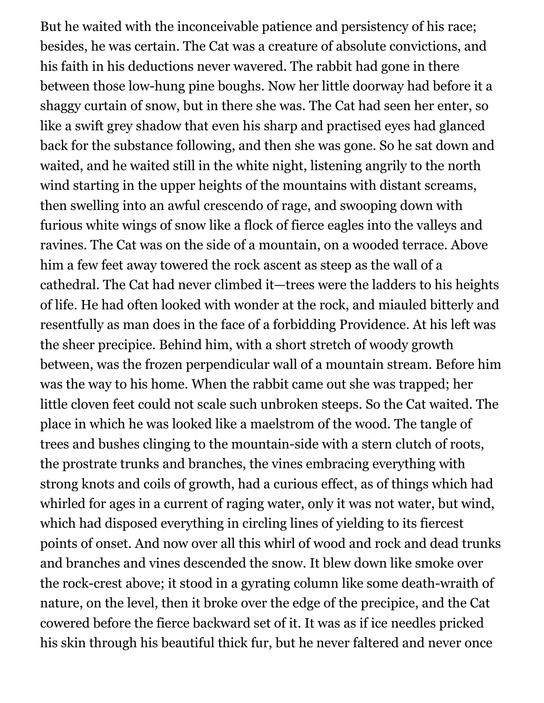But he waited with the inconceivable patience and persistency of his race; besides, he was certain. The Cat was a creature of absolute convictions, and his faith in his deductions never wavered. The rabbit had gone in there between those low-hung pine boughs. Now her little doorway had before it a shaggy curtain of snow, but in there she was. The Cat had seen her enter, so like a swift grey shadow that even his sharp and practised eyes had glanced back for the substance following, and then she was gone. So he sat down and waited, and he waited still in the white night, listening angrily to the north wind starting in the upper heights of the mountains with distant screams, then swelling into an awful crescendo of rage, and swooping down with furious white wings of snow like a flock of fierce eagles into the valleys and ravines. The Cat was on the side of a mountain, on a wooded terrace. Above him a few feet away towered the rock ascent as steep as the wall of a cathedral. The Cat had never climbed it—trees were the ladders to his heights of life. He had often looked with wonder at the rock, and miauled bitterly and resentfully as man does in the face of a forbidding Providence. At his left was the sheer precipice. Behind him, with a short stretch of woody growth between, was the frozen perpendicular wall of a mountain stream. Before him was the way to his home. When the rabbit came out she was trapped; her little cloven feet could not scale such unbroken steeps. So the Cat waited. The place in which he was looked like a maelstrom of the wood. The tangle of trees and bushes clinging to the mountain-side with a stern clutch of roots, the prostrate trunks and branches, the vines embracing everything with strong knots and coils of growth, had a curious effect, as of things which had whirled for ages in a current of raging water, only it was not water, but wind, which had disposed everything in circling lines of yielding to its fiercest points of onset. And now over all this whirl of wood and rock and dead trunks and branches and vines descended the snow. It blew down like smoke over the rock-crest above; it stood in a gyrating column like some death-wraith of nature, on the level, then it broke over the edge of the precipice, and the Cat cowered before the fierce backward set of it. It was as if ice needles pricked his skin through his beautiful thick fur, but he never faltered and never once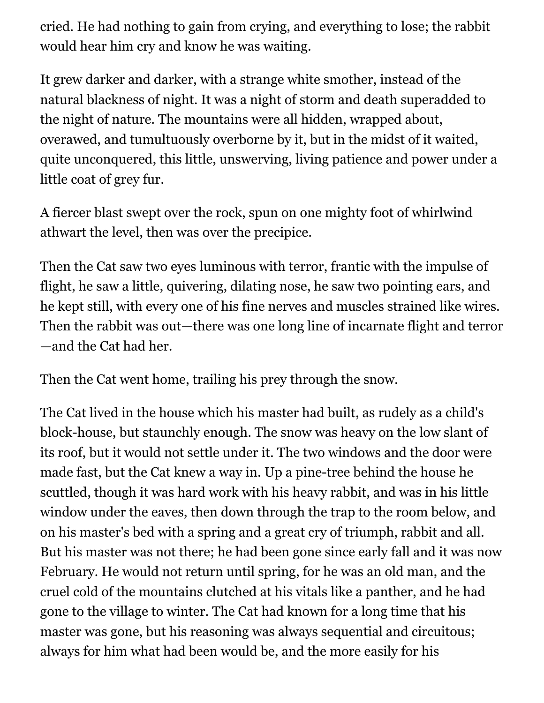cried. He had nothing to gain from crying, and everything to lose; the rabbit would hear him cry and know he was waiting.

It grew darker and darker, with a strange white smother, instead of the natural blackness of night. It was a night of storm and death superadded to the night of nature. The mountains were all hidden, wrapped about, overawed, and tumultuously overborne by it, but in the midst of it waited, quite unconquered, this little, unswerving, living patience and power under a little coat of grey fur.

A fiercer blast swept over the rock, spun on one mighty foot of whirlwind athwart the level, then was over the precipice.

Then the Cat saw two eyes luminous with terror, frantic with the impulse of flight, he saw a little, quivering, dilating nose, he saw two pointing ears, and he kept still, with every one of his fine nerves and muscles strained like wires. Then the rabbit was out—there was one long line of incarnate flight and terror —and the Cat had her.

Then the Cat went home, trailing his prey through the snow.

The Cat lived in the house which his master had built, as rudely as a child's block-house, but staunchly enough. The snow was heavy on the low slant of its roof, but it would not settle under it. The two windows and the door were made fast, but the Cat knew a way in. Up a pine-tree behind the house he scuttled, though it was hard work with his heavy rabbit, and was in his little window under the eaves, then down through the trap to the room below, and on his master's bed with a spring and a great cry of triumph, rabbit and all. But his master was not there; he had been gone since early fall and it was now February. He would not return until spring, for he was an old man, and the cruel cold of the mountains clutched at his vitals like a panther, and he had gone to the village to winter. The Cat had known for a long time that his master was gone, but his reasoning was always sequential and circuitous; always for him what had been would be, and the more easily for his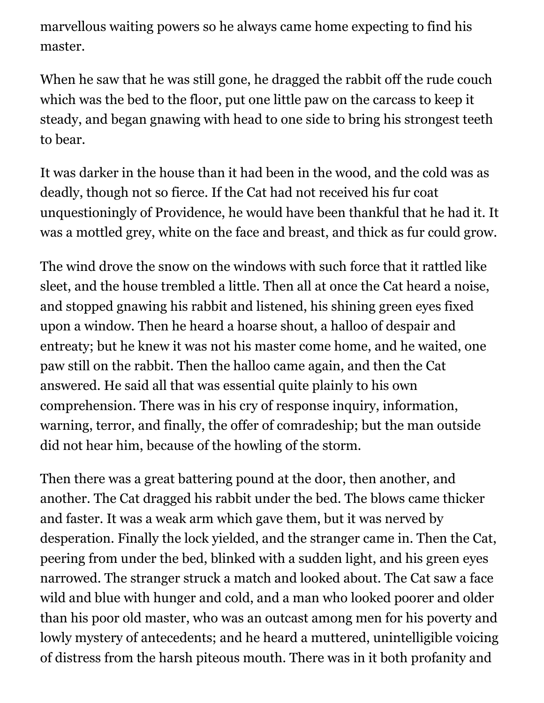marvellous waiting powers so he always came home expecting to find his master.

When he saw that he was still gone, he dragged the rabbit off the rude couch which was the bed to the floor, put one little paw on the carcass to keep it steady, and began gnawing with head to one side to bring his strongest teeth to bear.

It was darker in the house than it had been in the wood, and the cold was as deadly, though not so fierce. If the Cat had not received his fur coat unquestioningly of Providence, he would have been thankful that he had it. It was a mottled grey, white on the face and breast, and thick as fur could grow.

The wind drove the snow on the windows with such force that it rattled like sleet, and the house trembled a little. Then all at once the Cat heard a noise, and stopped gnawing his rabbit and listened, his shining green eyes fixed upon a window. Then he heard a hoarse shout, a halloo of despair and entreaty; but he knew it was not his master come home, and he waited, one paw still on the rabbit. Then the halloo came again, and then the Cat answered. He said all that was essential quite plainly to his own comprehension. There was in his cry of response inquiry, information, warning, terror, and finally, the offer of comradeship; but the man outside did not hear him, because of the howling of the storm.

Then there was a great battering pound at the door, then another, and another. The Cat dragged his rabbit under the bed. The blows came thicker and faster. It was a weak arm which gave them, but it was nerved by desperation. Finally the lock yielded, and the stranger came in. Then the Cat, peering from under the bed, blinked with a sudden light, and his green eyes narrowed. The stranger struck a match and looked about. The Cat saw a face wild and blue with hunger and cold, and a man who looked poorer and older than his poor old master, who was an outcast among men for his poverty and lowly mystery of antecedents; and he heard a muttered, unintelligible voicing of distress from the harsh piteous mouth. There was in it both profanity and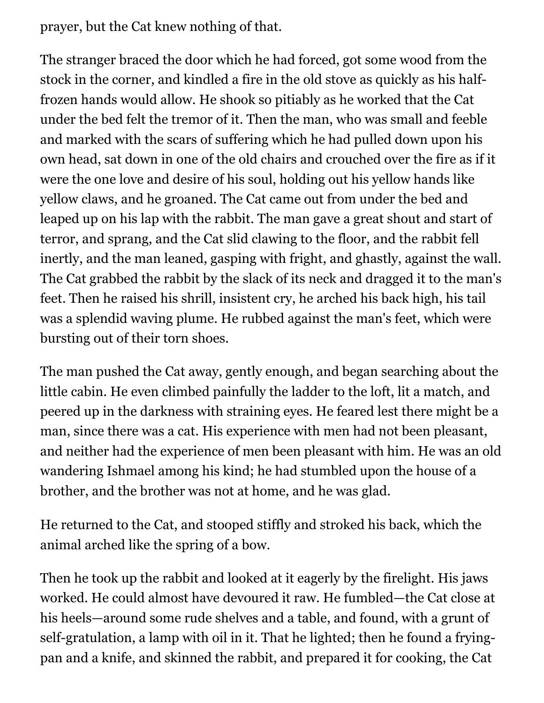prayer, but the Cat knew nothing of that.

The stranger braced the door which he had forced, got some wood from the stock in the corner, and kindled a fire in the old stove as quickly as his halffrozen hands would allow. He shook so pitiably as he worked that the Cat under the bed felt the tremor of it. Then the man, who was small and feeble and marked with the scars of suffering which he had pulled down upon his own head, sat down in one of the old chairs and crouched over the fire as if it were the one love and desire of his soul, holding out his yellow hands like yellow claws, and he groaned. The Cat came out from under the bed and leaped up on his lap with the rabbit. The man gave a great shout and start of terror, and sprang, and the Cat slid clawing to the floor, and the rabbit fell inertly, and the man leaned, gasping with fright, and ghastly, against the wall. The Cat grabbed the rabbit by the slack of its neck and dragged it to the man's feet. Then he raised his shrill, insistent cry, he arched his back high, his tail was a splendid waving plume. He rubbed against the man's feet, which were bursting out of their torn shoes.

The man pushed the Cat away, gently enough, and began searching about the little cabin. He even climbed painfully the ladder to the loft, lit a match, and peered up in the darkness with straining eyes. He feared lest there might be a man, since there was a cat. His experience with men had not been pleasant, and neither had the experience of men been pleasant with him. He was an old wandering Ishmael among his kind; he had stumbled upon the house of a brother, and the brother was not at home, and he was glad.

He returned to the Cat, and stooped stiffly and stroked his back, which the animal arched like the spring of a bow.

Then he took up the rabbit and looked at it eagerly by the firelight. His jaws worked. He could almost have devoured it raw. He fumbled—the Cat close at his heels—around some rude shelves and a table, and found, with a grunt of self-gratulation, a lamp with oil in it. That he lighted; then he found a fryingpan and a knife, and skinned the rabbit, and prepared it for cooking, the Cat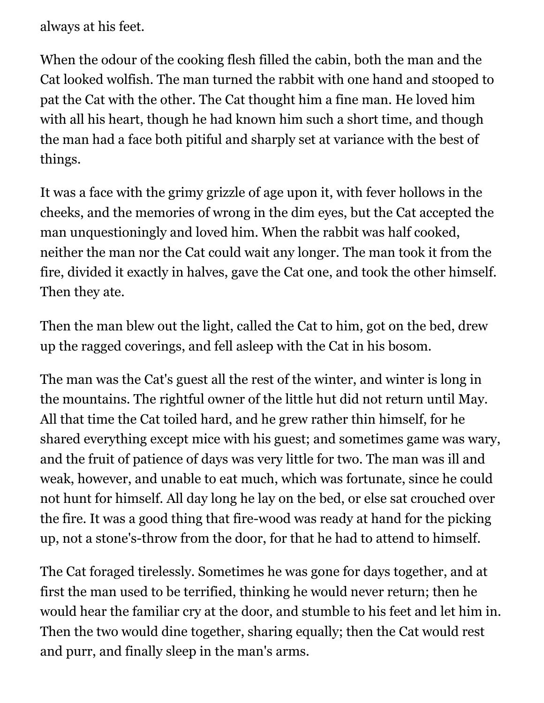always at his feet.

When the odour of the cooking flesh filled the cabin, both the man and the Cat looked wolfish. The man turned the rabbit with one hand and stooped to pat the Cat with the other. The Cat thought him a fine man. He loved him with all his heart, though he had known him such a short time, and though the man had a face both pitiful and sharply set at variance with the best of things.

It was a face with the grimy grizzle of age upon it, with fever hollows in the cheeks, and the memories of wrong in the dim eyes, but the Cat accepted the man unquestioningly and loved him. When the rabbit was half cooked, neither the man nor the Cat could wait any longer. The man took it from the fire, divided it exactly in halves, gave the Cat one, and took the other himself. Then they ate.

Then the man blew out the light, called the Cat to him, got on the bed, drew up the ragged coverings, and fell asleep with the Cat in his bosom.

The man was the Cat's guest all the rest of the winter, and winter is long in the mountains. The rightful owner of the little hut did not return until May. All that time the Cat toiled hard, and he grew rather thin himself, for he shared everything except mice with his guest; and sometimes game was wary, and the fruit of patience of days was very little for two. The man was ill and weak, however, and unable to eat much, which was fortunate, since he could not hunt for himself. All day long he lay on the bed, or else sat crouched over the fire. It was a good thing that fire-wood was ready at hand for the picking up, not a stone's-throw from the door, for that he had to attend to himself.

The Cat foraged tirelessly. Sometimes he was gone for days together, and at first the man used to be terrified, thinking he would never return; then he would hear the familiar cry at the door, and stumble to his feet and let him in. Then the two would dine together, sharing equally; then the Cat would rest and purr, and finally sleep in the man's arms.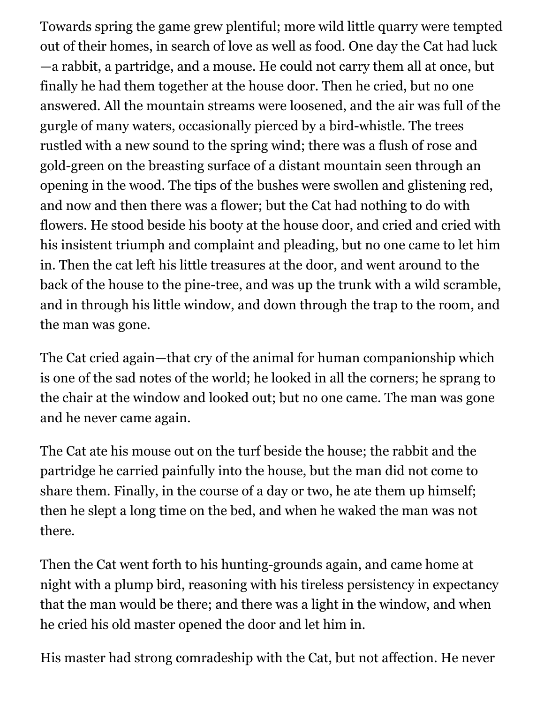Towards spring the game grew plentiful; more wild little quarry were tempted out of their homes, in search of love as well as food. One day the Cat had luck —a rabbit, a partridge, and a mouse. He could not carry them all at once, but finally he had them together at the house door. Then he cried, but no one answered. All the mountain streams were loosened, and the air was full of the gurgle of many waters, occasionally pierced by a bird-whistle. The trees rustled with a new sound to the spring wind; there was a flush of rose and gold-green on the breasting surface of a distant mountain seen through an opening in the wood. The tips of the bushes were swollen and glistening red, and now and then there was a flower; but the Cat had nothing to do with flowers. He stood beside his booty at the house door, and cried and cried with his insistent triumph and complaint and pleading, but no one came to let him in. Then the cat left his little treasures at the door, and went around to the back of the house to the pine-tree, and was up the trunk with a wild scramble, and in through his little window, and down through the trap to the room, and the man was gone.

The Cat cried again—that cry of the animal for human companionship which is one of the sad notes of the world; he looked in all the corners; he sprang to the chair at the window and looked out; but no one came. The man was gone and he never came again.

The Cat ate his mouse out on the turf beside the house; the rabbit and the partridge he carried painfully into the house, but the man did not come to share them. Finally, in the course of a day or two, he ate them up himself; then he slept a long time on the bed, and when he waked the man was not there.

Then the Cat went forth to his hunting-grounds again, and came home at night with a plump bird, reasoning with his tireless persistency in expectancy that the man would be there; and there was a light in the window, and when he cried his old master opened the door and let him in.

His master had strong comradeship with the Cat, but not affection. He never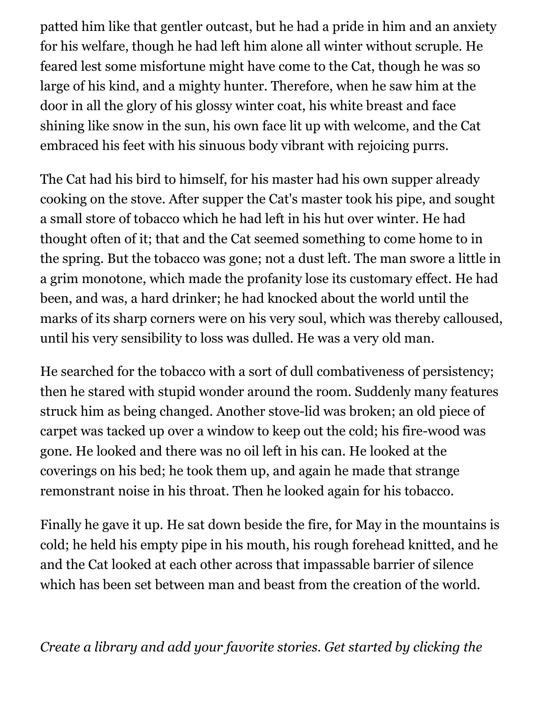patted him like that gentler outcast, but he had a pride in him and an anxiety for his welfare, though he had left him alone all winter without scruple. He feared lest some misfortune might have come to the Cat, though he was so large of his kind, and a mighty hunter. Therefore, when he saw him at the door in all the glory of his glossy winter coat, his white breast and face shining like snow in the sun, his own face lit up with welcome, and the Cat embraced his feet with his sinuous body vibrant with rejoicing purrs.

The Cat had his bird to himself, for his master had his own supper already cooking on the stove. After supper the Cat's master took his pipe, and sought a small store of tobacco which he had left in his hut over winter. He had thought often of it; that and the Cat seemed something to come home to in the spring. But the tobacco was gone; not a dust left. The man swore a little in a grim monotone, which made the profanity lose its customary effect. He had been, and was, a hard drinker; he had knocked about the world until the marks of its sharp corners were on his very soul, which was thereby calloused, until his very sensibility to loss was dulled. He was a very old man.

He searched for the tobacco with a sort of dull combativeness of persistency; then he stared with stupid wonder around the room. Suddenly many features struck him as being changed. Another stove-lid was broken; an old piece of carpet was tacked up over a window to keep out the cold; his fire-wood was gone. He looked and there was no oil left in his can. He looked at the coverings on his bed; he took them up, and again he made that strange remonstrant noise in his throat. Then he looked again for his tobacco.

Finally he gave it up. He sat down beside the fire, for May in the mountains is cold; he held his empty pipe in his mouth, his rough forehead knitted, and he and the Cat looked at each other across that impassable barrier of silence which has been set between man and beast from the creation of the world.

*Create a library and add your favorite stories. Get started by clicking the*